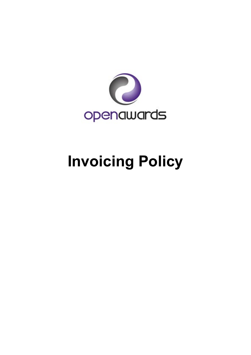

# **Invoicing Policy**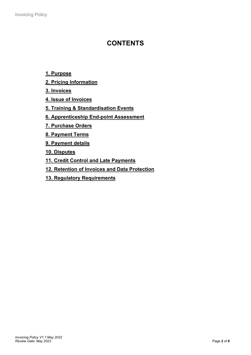# **CONTENTS**

# **[1. Purpose](#page-2-0)**

- **[2. Pricing Information](#page-2-1)**
- **[3. Invoices](#page-2-2)**
- **[4. Issue of Invoices](#page-2-3)**
- **[5. Training & Standardisation Events](#page-5-0)**
- **[6. Apprenticeship End-point Assessment](#page-5-1)**
- **[7. Purchase Orders](#page-5-2)**
- **[8. Payment Terms](#page-5-3)**
- **[9. Payment details](#page-5-4)**
- **[10. Disputes](#page-5-5)**
- **[11. Credit Control and Late Payments](#page-5-6)**
- **[12. Retention of Invoices and Data Protection](#page-6-0)**
- **[13. Regulatory Requirements](#page-6-1)**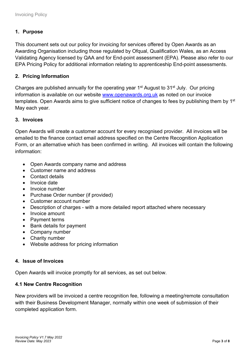# <span id="page-2-0"></span>**1. Purpose**

This document sets out our policy for invoicing for services offered by Open Awards as an Awarding Organisation including those regulated by Ofqual, Qualification Wales, as an Access Validating Agency licensed by QAA and for End-point assessment (EPA). Please also refer to our EPA Pricing Policy for additional information relating to apprenticeship End-point assessments.

# <span id="page-2-1"></span>**2. Pricing Information**

Charges are published annually for the operating year 1<sup>st</sup> August to 31<sup>st</sup> July. Our pricing information is available on our website [www.openawards.org.uk](http://www.openawards.org.uk/) as noted on our invoice templates. Open Awards aims to give sufficient notice of changes to fees by publishing them by 1<sup>st</sup> May each year.

# <span id="page-2-2"></span>**3. Invoices**

Open Awards will create a customer account for every recognised provider. All invoices will be emailed to the finance contact email address specified on the Centre Recognition Application Form, or an alternative which has been confirmed in writing. All invoices will contain the following information:

- Open Awards company name and address
- Customer name and address
- Contact details
- Invoice date
- Invoice number
- Purchase Order number (if provided)
- Customer account number
- Description of charges with a more detailed report attached where necessary
- Invoice amount
- Payment terms
- Bank details for payment
- Company number
- Charity number
- Website address for pricing information

#### <span id="page-2-3"></span>**4. Issue of Invoices**

Open Awards will invoice promptly for all services, as set out below.

#### **4.1 New Centre Recognition**

New providers will be invoiced a centre recognition fee, following a meeting/remote consultation with their Business Development Manager, normally within one week of submission of their completed application form.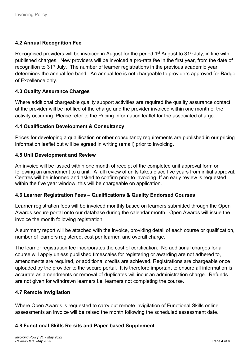# **4.2 Annual Recognition Fee**

Recognised providers will be invoiced in August for the period 1<sup>st</sup> August to 31<sup>st</sup> July, in line with published charges. New providers will be invoiced a pro-rata fee in the first year, from the date of recognition to 31<sup>st</sup> July. The number of learner registrations in the previous academic year determines the annual fee band. An annual fee is not chargeable to providers approved for Badge of Excellence only.

# **4.3 Quality Assurance Charges**

Where additional chargeable quality support activities are required the quality assurance contact at the provider will be notified of the charge and the provider invoiced within one month of the activity occurring. Please refer to the Pricing Information leaflet for the associated charge.

# **4.4 Qualification Development & Consultancy**

Prices for developing a qualification or other consultancy requirements are published in our pricing information leaflet but will be agreed in writing (email) prior to invoicing.

# **4.5 Unit Development and Review**

An invoice will be issued within one month of receipt of the completed unit approval form or following an amendment to a unit. A full review of units takes place five years from initial approval. Centres will be informed and asked to confirm prior to invoicing. If an early review is requested within the five year window, this will be chargeable on application.

# **4.6 Learner Registration Fees – Qualifications & Quality Endorsed Courses**

Learner registration fees will be invoiced monthly based on learners submitted through the Open Awards secure portal onto our database during the calendar month. Open Awards will issue the invoice the month following registration.

A summary report will be attached with the invoice, providing detail of each course or qualification, number of learners registered, cost per learner, and overall charge.

The learner registration fee incorporates the cost of certification. No additional charges for a course will apply unless published timescales for registering or awarding are not adhered to, amendments are required, or additional credits are achieved. Registrations are chargeable once uploaded by the provider to the secure portal. It is therefore important to ensure all information is accurate as amendments or removal of duplicates will incur an administration charge. Refunds are not given for withdrawn learners i.e. learners not completing the course.

#### **4.7 Remote Invigilation**

Where Open Awards is requested to carry out remote invigilation of Functional Skills online assessments an invoice will be raised the month following the scheduled assessment date.

# **4.8 Functional Skills Re-sits and Paper-based Supplement**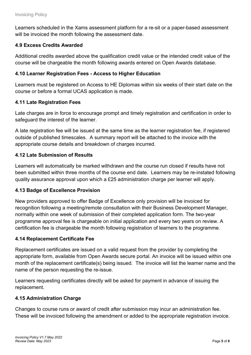Learners scheduled in the Xams assessment platform for a re-sit or a paper-based assessment will be invoiced the month following the assessment date.

# **4.9 Excess Credits Awarded**

Additional credits awarded above the qualification credit value or the intended credit value of the course will be chargeable the month following awards entered on Open Awards database.

# **4.10 Learner Registration Fees - Access to Higher Education**

Learners must be registered on Access to HE Diplomas within six weeks of their start date on the course or before a formal UCAS application is made.

# **4.11 Late Registration Fees**

Late charges are in force to encourage prompt and timely registration and certification in order to safeguard the interest of the learner.

A late registration fee will be issued at the same time as the learner registration fee, if registered outside of published timescales. A summary report will be attached to the invoice with the appropriate course details and breakdown of charges incurred.

# **4.12 Late Submission of Results**

Learners will automatically be marked withdrawn and the course run closed if results have not been submitted within three months of the course end date. Learners may be re-instated following quality assurance approval upon which a £25 administration charge per learner will apply.

# **4.13 Badge of Excellence Provision**

New providers approved to offer Badge of Excellence only provision will be invoiced for recognition following a meeting/remote consultation with their Business Development Manager, normally within one week of submission of their completed application form. The two-year programme approval fee is chargeable on initial application and every two years on review. A certification fee is chargeable the month following registration of learners to the programme.

# **4.14 Replacement Certificate Fee**

Replacement certificates are issued on a valid request from the provider by completing the appropriate form, available from Open Awards secure portal. An invoice will be issued within one month of the replacement certificate(s) being issued. The invoice will list the learner name and the name of the person requesting the re-issue.

Learners requesting certificates directly will be asked for payment in advance of issuing the replacement.

# **4.15 Administration Charge**

Changes to course runs or award of credit after submission may incur an administration fee. These will be invoiced following the amendment or added to the appropriate registration invoice.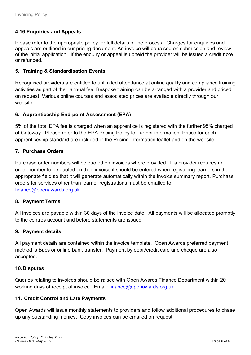# **4.16 Enquiries and Appeals**

Please refer to the appropriate policy for full details of the process. Charges for enquiries and appeals are outlined in our pricing document. An invoice will be raised on submission and review of the initial application. If the enquiry or appeal is upheld the provider will be issued a credit note or refunded.

# <span id="page-5-0"></span>**5. Training & Standardisation Events**

Recognised providers are entitled to unlimited attendance at online quality and compliance training activities as part of their annual fee. Bespoke training can be arranged with a provider and priced on request. Various online courses and associated prices are available directly through our website.

# <span id="page-5-1"></span>**6. Apprenticeship End-point Assessment (EPA)**

5% of the total EPA fee is charged when an apprentice is registered with the further 95% charged at Gateway. Please refer to the EPA Pricing Policy for further information. Prices for each apprenticeship standard are included in the Pricing Information leaflet and on the website.

# <span id="page-5-2"></span>**7. Purchase Orders**

Purchase order numbers will be quoted on invoices where provided. If a provider requires an order number to be quoted on their invoice it should be entered when registering learners in the appropriate field so that it will generate automatically within the invoice summary report. Purchase orders for services other than learner registrations must be emailed to [finance@openawards.org.uk](mailto:finance@openawards.org.uk)

#### <span id="page-5-3"></span>**8. Payment Terms**

All invoices are payable within 30 days of the invoice date. All payments will be allocated promptly to the centres account and before statements are issued.

#### <span id="page-5-4"></span>**9. Payment details**

All payment details are contained within the invoice template. Open Awards preferred payment method is Bacs or online bank transfer. Payment by debit/credit card and cheque are also accepted.

#### <span id="page-5-5"></span>**10.Disputes**

Queries relating to invoices should be raised with Open Awards Finance Department within 20 working days of receipt of invoice. Email: [finance@openawards.org.uk](mailto:finance@openawards.org.uk)

# <span id="page-5-6"></span>**11. Credit Control and Late Payments**

Open Awards will issue monthly statements to providers and follow additional procedures to chase up any outstanding monies. Copy invoices can be emailed on request.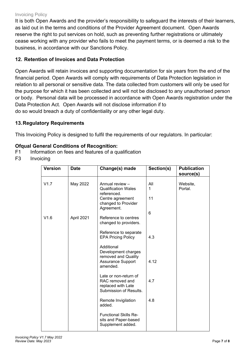#### Invoicing Policy

It is both Open Awards and the provider's responsibility to safeguard the interests of their learners, as laid out in the terms and conditions of the Provider Agreement document. Open Awards reserve the right to put services on hold, such as preventing further registrations or ultimately cease working with any provider who fails to meet the payment terms, or is deemed a risk to the business, in accordance with our Sanctions Policy.

# <span id="page-6-0"></span>**12. Retention of Invoices and Data Protection**

Open Awards will retain invoices and supporting documentation for six years from the end of the financial period. Open Awards will comply with requirements of Data Protection legislation in relation to all personal or sensitive data. The data collected from customers will only be used for the purpose for which it has been collected and will not be disclosed to any unauthorised person or body. Personal data will be processed in accordance with Open Awards registration under the Data Protection Act. Open Awards will not disclose information if to do so would breach a duty of confidentiality or any other legal duty.

# <span id="page-6-1"></span>**13.Regulatory Requirements**

This Invoicing Policy is designed to fulfil the requirements of our regulators. In particular:

# **Ofqual General Conditions of Recognition:**

- F1 Information on fees and features of a qualification
- F3 Invoicing

| <b>Version</b> | <b>Date</b> | Change(s) made                                                                                                        | Section(s)     | <b>Publication</b><br>source(s) |
|----------------|-------------|-----------------------------------------------------------------------------------------------------------------------|----------------|---------------------------------|
| V1.7           | May 2022    | Annual review -<br><b>Qualification Wales</b><br>referenced.<br>Centre agreement<br>changed to Provider<br>Agreement. | All<br>1<br>11 | Website,<br>Portal.             |
| V1.6           | April 2021  | Reference to centres<br>changed to providers.                                                                         | 6              |                                 |
|                |             | Reference to separate<br><b>EPA Pricing Policy</b>                                                                    | 4.3            |                                 |
|                |             | Additional<br>Development charges<br>removed and Quality<br><b>Assurance Support</b><br>amended.                      | 4.12           |                                 |
|                |             | Late or non-return of<br>RAC removed and<br>replaced with Late<br>Submission of Results.                              | 4.7            |                                 |
|                |             | Remote Invigilation<br>added.                                                                                         | 4.8            |                                 |
|                |             | <b>Functional Skills Re-</b><br>sits and Paper-based<br>Supplement added.                                             |                |                                 |